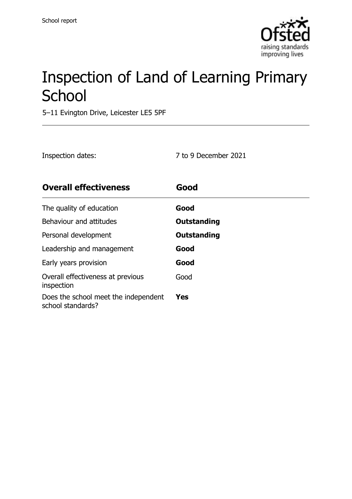

# Inspection of Land of Learning Primary **School**

5–11 Evington Drive, Leicester LE5 5PF

| Inspection dates: | 7 to 9 December 2021 |
|-------------------|----------------------|
|                   |                      |

| <b>Overall effectiveness</b>                              | Good        |
|-----------------------------------------------------------|-------------|
| The quality of education                                  | Good        |
| Behaviour and attitudes                                   | Outstanding |
| Personal development                                      | Outstanding |
| Leadership and management                                 | Good        |
| Early years provision                                     | Good        |
| Overall effectiveness at previous<br>inspection           | Good        |
| Does the school meet the independent<br>school standards? | Yes         |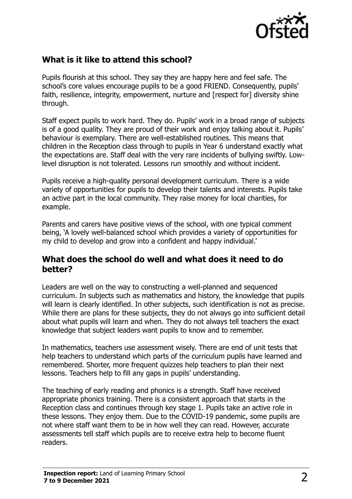

#### **What is it like to attend this school?**

Pupils flourish at this school. They say they are happy here and feel safe. The school's core values encourage pupils to be a good FRIEND. Consequently, pupils' faith, resilience, integrity, empowerment, nurture and [respect for] diversity shine through.

Staff expect pupils to work hard. They do. Pupils' work in a broad range of subjects is of a good quality. They are proud of their work and enjoy talking about it. Pupils' behaviour is exemplary. There are well-established routines. This means that children in the Reception class through to pupils in Year 6 understand exactly what the expectations are. Staff deal with the very rare incidents of bullying swiftly. Lowlevel disruption is not tolerated. Lessons run smoothly and without incident.

Pupils receive a high-quality personal development curriculum. There is a wide variety of opportunities for pupils to develop their talents and interests. Pupils take an active part in the local community. They raise money for local charities, for example.

Parents and carers have positive views of the school, with one typical comment being, 'A lovely well-balanced school which provides a variety of opportunities for my child to develop and grow into a confident and happy individual.'

#### **What does the school do well and what does it need to do better?**

Leaders are well on the way to constructing a well-planned and sequenced curriculum. In subjects such as mathematics and history, the knowledge that pupils will learn is clearly identified. In other subjects, such identification is not as precise. While there are plans for these subjects, they do not always go into sufficient detail about what pupils will learn and when. They do not always tell teachers the exact knowledge that subject leaders want pupils to know and to remember.

In mathematics, teachers use assessment wisely. There are end of unit tests that help teachers to understand which parts of the curriculum pupils have learned and remembered. Shorter, more frequent quizzes help teachers to plan their next lessons. Teachers help to fill any gaps in pupils' understanding.

The teaching of early reading and phonics is a strength. Staff have received appropriate phonics training. There is a consistent approach that starts in the Reception class and continues through key stage 1. Pupils take an active role in these lessons. They enjoy them. Due to the COVID-19 pandemic, some pupils are not where staff want them to be in how well they can read. However, accurate assessments tell staff which pupils are to receive extra help to become fluent readers.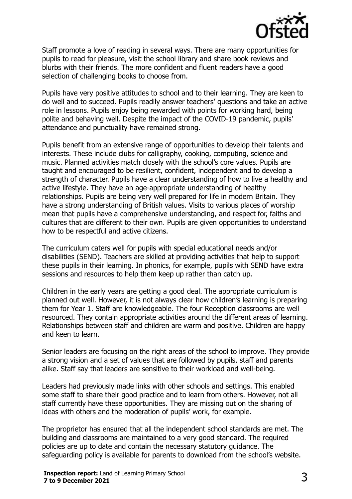

Staff promote a love of reading in several ways. There are many opportunities for pupils to read for pleasure, visit the school library and share book reviews and blurbs with their friends. The more confident and fluent readers have a good selection of challenging books to choose from.

Pupils have very positive attitudes to school and to their learning. They are keen to do well and to succeed. Pupils readily answer teachers' questions and take an active role in lessons. Pupils enjoy being rewarded with points for working hard, being polite and behaving well. Despite the impact of the COVID-19 pandemic, pupils' attendance and punctuality have remained strong.

Pupils benefit from an extensive range of opportunities to develop their talents and interests. These include clubs for calligraphy, cooking, computing, science and music. Planned activities match closely with the school's core values. Pupils are taught and encouraged to be resilient, confident, independent and to develop a strength of character. Pupils have a clear understanding of how to live a healthy and active lifestyle. They have an age-appropriate understanding of healthy relationships. Pupils are being very well prepared for life in modern Britain. They have a strong understanding of British values. Visits to various places of worship mean that pupils have a comprehensive understanding, and respect for, faiths and cultures that are different to their own. Pupils are given opportunities to understand how to be respectful and active citizens.

The curriculum caters well for pupils with special educational needs and/or disabilities (SEND). Teachers are skilled at providing activities that help to support these pupils in their learning. In phonics, for example, pupils with SEND have extra sessions and resources to help them keep up rather than catch up.

Children in the early years are getting a good deal. The appropriate curriculum is planned out well. However, it is not always clear how children's learning is preparing them for Year 1. Staff are knowledgeable. The four Reception classrooms are well resourced. They contain appropriate activities around the different areas of learning. Relationships between staff and children are warm and positive. Children are happy and keen to learn.

Senior leaders are focusing on the right areas of the school to improve. They provide a strong vision and a set of values that are followed by pupils, staff and parents alike. Staff say that leaders are sensitive to their workload and well-being.

Leaders had previously made links with other schools and settings. This enabled some staff to share their good practice and to learn from others. However, not all staff currently have these opportunities. They are missing out on the sharing of ideas with others and the moderation of pupils' work, for example.

The proprietor has ensured that all the independent school standards are met. The building and classrooms are maintained to a very good standard. The required policies are up to date and contain the necessary statutory guidance. The safeguarding policy is available for parents to download from the school's website.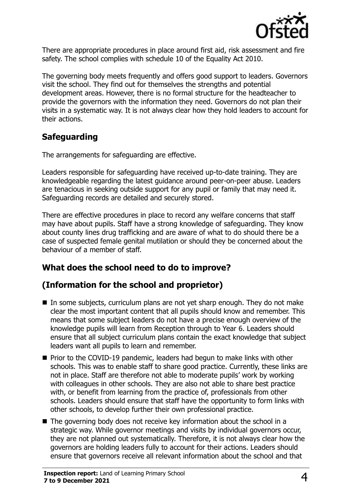

There are appropriate procedures in place around first aid, risk assessment and fire safety. The school complies with schedule 10 of the Equality Act 2010.

The governing body meets frequently and offers good support to leaders. Governors visit the school. They find out for themselves the strengths and potential development areas. However, there is no formal structure for the headteacher to provide the governors with the information they need. Governors do not plan their visits in a systematic way. It is not always clear how they hold leaders to account for their actions.

#### **Safeguarding**

The arrangements for safeguarding are effective.

Leaders responsible for safeguarding have received up-to-date training. They are knowledgeable regarding the latest guidance around peer-on-peer abuse. Leaders are tenacious in seeking outside support for any pupil or family that may need it. Safeguarding records are detailed and securely stored.

There are effective procedures in place to record any welfare concerns that staff may have about pupils. Staff have a strong knowledge of safeguarding. They know about county lines drug trafficking and are aware of what to do should there be a case of suspected female genital mutilation or should they be concerned about the behaviour of a member of staff.

### **What does the school need to do to improve?**

#### **(Information for the school and proprietor)**

- In some subjects, curriculum plans are not yet sharp enough. They do not make clear the most important content that all pupils should know and remember. This means that some subject leaders do not have a precise enough overview of the knowledge pupils will learn from Reception through to Year 6. Leaders should ensure that all subject curriculum plans contain the exact knowledge that subject leaders want all pupils to learn and remember.
- Prior to the COVID-19 pandemic, leaders had begun to make links with other schools. This was to enable staff to share good practice. Currently, these links are not in place. Staff are therefore not able to moderate pupils' work by working with colleagues in other schools. They are also not able to share best practice with, or benefit from learning from the practice of, professionals from other schools. Leaders should ensure that staff have the opportunity to form links with other schools, to develop further their own professional practice.
- The governing body does not receive key information about the school in a strategic way. While governor meetings and visits by individual governors occur, they are not planned out systematically. Therefore, it is not always clear how the governors are holding leaders fully to account for their actions. Leaders should ensure that governors receive all relevant information about the school and that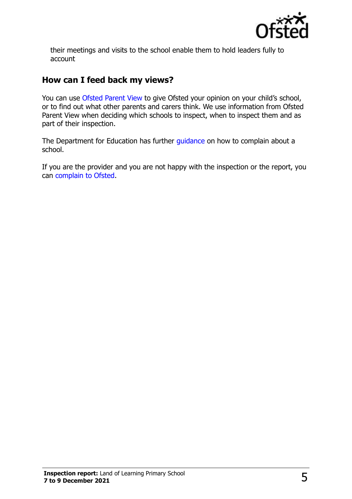

their meetings and visits to the school enable them to hold leaders fully to account

#### **How can I feed back my views?**

You can use [Ofsted Parent View](http://parentview.ofsted.gov.uk/) to give Ofsted your opinion on your child's school, or to find out what other parents and carers think. We use information from Ofsted Parent View when deciding which schools to inspect, when to inspect them and as part of their inspection.

The Department for Education has further [guidance](http://www.gov.uk/complain-about-school) on how to complain about a school.

If you are the provider and you are not happy with the inspection or the report, you can [complain to Ofsted.](http://www.gov.uk/complain-ofsted-report)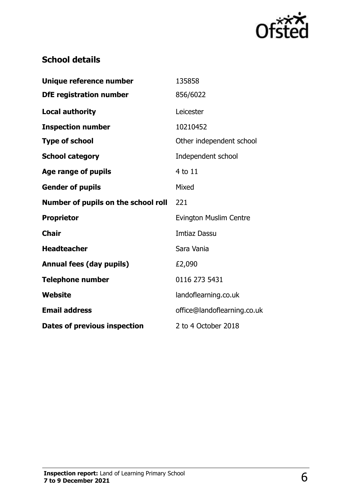

## **School details**

| Unique reference number             | 135858                        |
|-------------------------------------|-------------------------------|
| <b>DfE</b> registration number      | 856/6022                      |
| <b>Local authority</b>              | Leicester                     |
| <b>Inspection number</b>            | 10210452                      |
| <b>Type of school</b>               | Other independent school      |
| <b>School category</b>              | Independent school            |
| Age range of pupils                 | 4 to 11                       |
| <b>Gender of pupils</b>             | Mixed                         |
| Number of pupils on the school roll | 221                           |
| <b>Proprietor</b>                   | <b>Evington Muslim Centre</b> |
| <b>Chair</b>                        | <b>Imtiaz Dassu</b>           |
| <b>Headteacher</b>                  | Sara Vania                    |
| <b>Annual fees (day pupils)</b>     | £2,090                        |
| <b>Telephone number</b>             | 0116 273 5431                 |
| Website                             | landoflearning.co.uk          |
| <b>Email address</b>                | office@landoflearning.co.uk   |
| <b>Dates of previous inspection</b> | 2 to 4 October 2018           |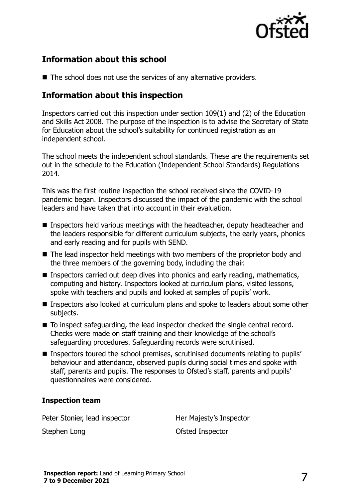

#### **Information about this school**

■ The school does not use the services of any alternative providers.

#### **Information about this inspection**

Inspectors carried out this inspection under section 109(1) and (2) of the Education and Skills Act 2008. The purpose of the inspection is to advise the Secretary of State for Education about the school's suitability for continued registration as an independent school.

The school meets the independent school standards. These are the requirements set out in the schedule to the Education (Independent School Standards) Regulations 2014.

This was the first routine inspection the school received since the COVID-19 pandemic began. Inspectors discussed the impact of the pandemic with the school leaders and have taken that into account in their evaluation.

- Inspectors held various meetings with the headteacher, deputy headteacher and the leaders responsible for different curriculum subjects, the early years, phonics and early reading and for pupils with SEND.
- The lead inspector held meetings with two members of the proprietor body and the three members of the governing body, including the chair.
- Inspectors carried out deep dives into phonics and early reading, mathematics, computing and history. Inspectors looked at curriculum plans, visited lessons, spoke with teachers and pupils and looked at samples of pupils' work.
- Inspectors also looked at curriculum plans and spoke to leaders about some other subjects.
- To inspect safeguarding, the lead inspector checked the single central record. Checks were made on staff training and their knowledge of the school's safeguarding procedures. Safeguarding records were scrutinised.
- Inspectors toured the school premises, scrutinised documents relating to pupils' behaviour and attendance, observed pupils during social times and spoke with staff, parents and pupils. The responses to Ofsted's staff, parents and pupils' questionnaires were considered.

#### **Inspection team**

Peter Stonier, lead inspector **Her Majesty's Inspector** 

Stephen Long **Contract Contract Contract Contract Contract Contract Contract Contract Contract Contract Contract Contract Contract Contract Contract Contract Contract Contract Contract Contract Contract Contract Contract C**